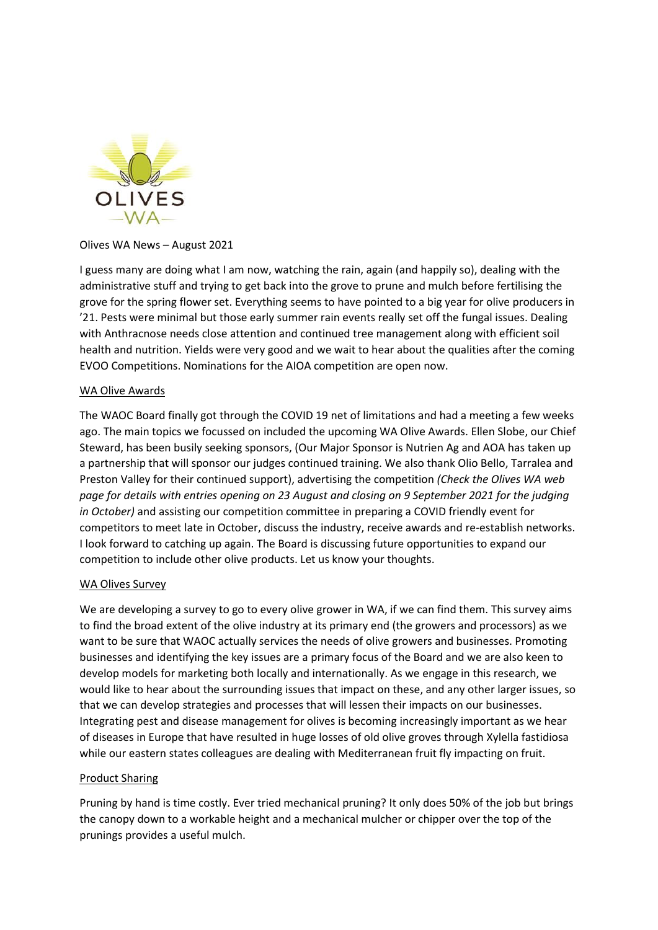

# Olives WA News – August 2021

I guess many are doing what I am now, watching the rain, again (and happily so), dealing with the administrative stuff and trying to get back into the grove to prune and mulch before fertilising the grove for the spring flower set. Everything seems to have pointed to a big year for olive producers in '21. Pests were minimal but those early summer rain events really set off the fungal issues. Dealing with Anthracnose needs close attention and continued tree management along with efficient soil health and nutrition. Yields were very good and we wait to hear about the qualities after the coming EVOO Competitions. Nominations for the AIOA competition are open now.

## WA Olive Awards

The WAOC Board finally got through the COVID 19 net of limitations and had a meeting a few weeks ago. The main topics we focussed on included the upcoming WA Olive Awards. Ellen Slobe, our Chief Steward, has been busily seeking sponsors, (Our Major Sponsor is Nutrien Ag and AOA has taken up a partnership that will sponsor our judges continued training. We also thank Olio Bello, Tarralea and Preston Valley for their continued support), advertising the competition *(Check the Olives WA web page for details with entries opening on 23 August and closing on 9 September 2021 for the judging in October)* and assisting our competition committee in preparing a COVID friendly event for competitors to meet late in October, discuss the industry, receive awards and re-establish networks. I look forward to catching up again. The Board is discussing future opportunities to expand our competition to include other olive products. Let us know your thoughts.

## WA Olives Survey

We are developing a survey to go to every olive grower in WA, if we can find them. This survey aims to find the broad extent of the olive industry at its primary end (the growers and processors) as we want to be sure that WAOC actually services the needs of olive growers and businesses. Promoting businesses and identifying the key issues are a primary focus of the Board and we are also keen to develop models for marketing both locally and internationally. As we engage in this research, we would like to hear about the surrounding issues that impact on these, and any other larger issues, so that we can develop strategies and processes that will lessen their impacts on our businesses. Integrating pest and disease management for olives is becoming increasingly important as we hear of diseases in Europe that have resulted in huge losses of old olive groves through Xylella fastidiosa while our eastern states colleagues are dealing with Mediterranean fruit fly impacting on fruit.

## Product Sharing

Pruning by hand is time costly. Ever tried mechanical pruning? It only does 50% of the job but brings the canopy down to a workable height and a mechanical mulcher or chipper over the top of the prunings provides a useful mulch.